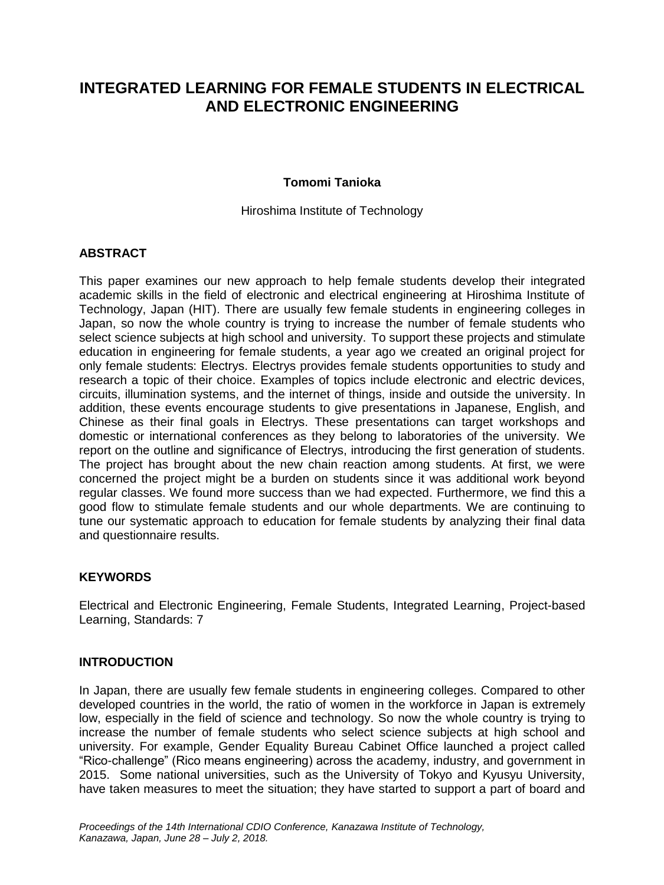# **INTEGRATED LEARNING FOR FEMALE STUDENTS IN ELECTRICAL AND ELECTRONIC ENGINEERING**

### **Tomomi Tanioka**

Hiroshima Institute of Technology

# **ABSTRACT**

This paper examines our new approach to help female students develop their integrated academic skills in the field of electronic and electrical engineering at Hiroshima Institute of Technology, Japan (HIT). There are usually few female students in engineering colleges in Japan, so now the whole country is trying to increase the number of female students who select science subjects at high school and university. To support these projects and stimulate education in engineering for female students, a year ago we created an original project for only female students: Electrys. Electrys provides female students opportunities to study and research a topic of their choice. Examples of topics include electronic and electric devices, circuits, illumination systems, and the internet of things, inside and outside the university. In addition, these events encourage students to give presentations in Japanese, English, and Chinese as their final goals in Electrys. These presentations can target workshops and domestic or international conferences as they belong to laboratories of the university. We report on the outline and significance of Electrys, introducing the first generation of students. The project has brought about the new chain reaction among students. At first, we were concerned the project might be a burden on students since it was additional work beyond regular classes. We found more success than we had expected. Furthermore, we find this a good flow to stimulate female students and our whole departments. We are continuing to tune our systematic approach to education for female students by analyzing their final data and questionnaire results.

# **KEYWORDS**

Electrical and Electronic Engineering, Female Students, Integrated Learning, Project-based Learning, Standards: 7

#### **INTRODUCTION**

In Japan, there are usually few female students in engineering colleges. Compared to other developed countries in the world, the ratio of women in the workforce in Japan is extremely low, especially in the field of science and technology. So now the whole country is trying to increase the number of female students who select science subjects at high school and university. For example, Gender Equality Bureau Cabinet Office launched a project called "Rico-challenge" (Rico means engineering) across the academy, industry, and government in 2015. Some national universities, such as the University of Tokyo and Kyusyu University, have taken measures to meet the situation; they have started to support a part of board and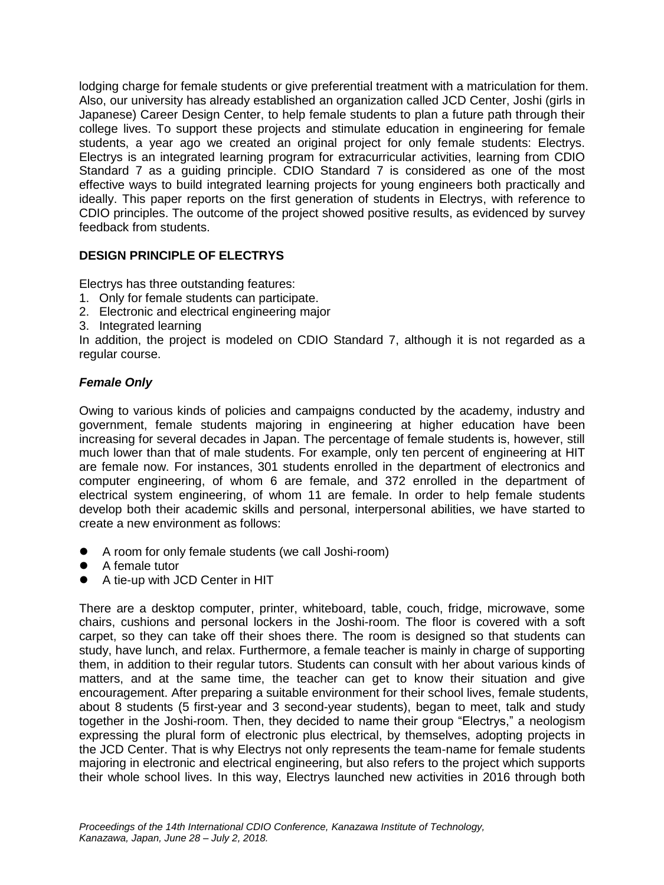lodging charge for female students or give preferential treatment with a matriculation for them. Also, our university has already established an organization called JCD Center, Joshi (girls in Japanese) Career Design Center, to help female students to plan a future path through their college lives. To support these projects and stimulate education in engineering for female students, a year ago we created an original project for only female students: Electrys. Electrys is an integrated learning program for extracurricular activities, learning from CDIO Standard 7 as a guiding principle. CDIO Standard 7 is considered as one of the most effective ways to build integrated learning projects for young engineers both practically and ideally. This paper reports on the first generation of students in Electrys, with reference to CDIO principles. The outcome of the project showed positive results, as evidenced by survey feedback from students.

# **DESIGN PRINCIPLE OF ELECTRYS**

Electrys has three outstanding features:

- 1. Only for female students can participate.
- 2. Electronic and electrical engineering major
- 3. Integrated learning

In addition, the project is modeled on CDIO Standard 7, although it is not regarded as a regular course.

# *Female Only*

Owing to various kinds of policies and campaigns conducted by the academy, industry and government, female students majoring in engineering at higher education have been increasing for several decades in Japan. The percentage of female students is, however, still much lower than that of male students. For example, only ten percent of engineering at HIT are female now. For instances, 301 students enrolled in the department of electronics and computer engineering, of whom 6 are female, and 372 enrolled in the department of electrical system engineering, of whom 11 are female. In order to help female students develop both their academic skills and personal, interpersonal abilities, we have started to create a new environment as follows:

- A room for only female students (we call Joshi-room)
- A female tutor
- A tie-up with JCD Center in HIT

There are a desktop computer, printer, whiteboard, table, couch, fridge, microwave, some chairs, cushions and personal lockers in the Joshi-room. The floor is covered with a soft carpet, so they can take off their shoes there. The room is designed so that students can study, have lunch, and relax. Furthermore, a female teacher is mainly in charge of supporting them, in addition to their regular tutors. Students can consult with her about various kinds of matters, and at the same time, the teacher can get to know their situation and give encouragement. After preparing a suitable environment for their school lives, female students, about 8 students (5 first-year and 3 second-year students), began to meet, talk and study together in the Joshi-room. Then, they decided to name their group "Electrys," a neologism expressing the plural form of electronic plus electrical, by themselves, adopting projects in the JCD Center. That is why Electrys not only represents the team-name for female students majoring in electronic and electrical engineering, but also refers to the project which supports their whole school lives. In this way, Electrys launched new activities in 2016 through both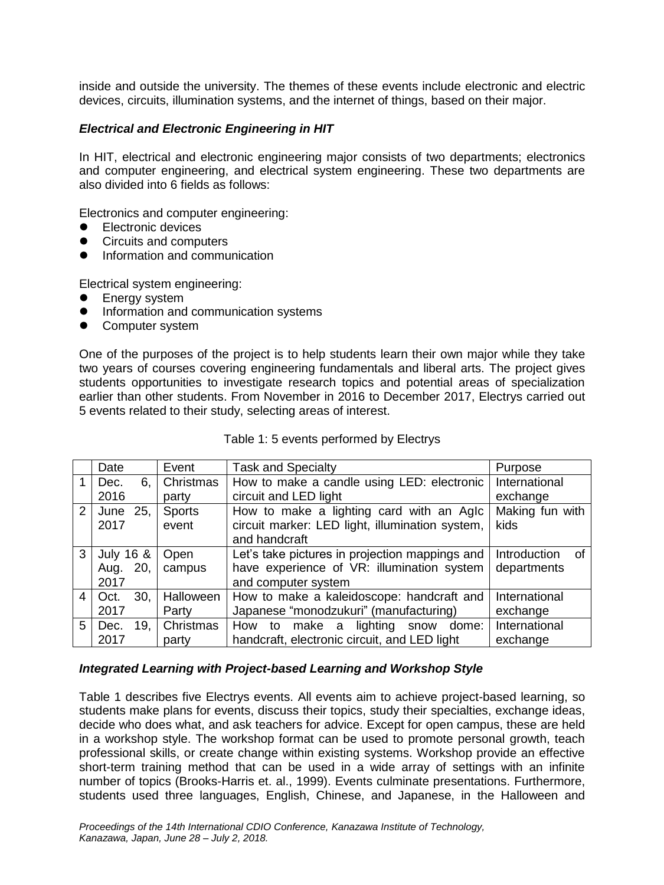inside and outside the university. The themes of these events include electronic and electric devices, circuits, illumination systems, and the internet of things, based on their major.

# *Electrical and Electronic Engineering in HIT*

In HIT, electrical and electronic engineering major consists of two departments; electronics and computer engineering, and electrical system engineering. These two departments are also divided into 6 fields as follows:

Electronics and computer engineering:

- Electronic devices
- Circuits and computers
- Information and communication

Electrical system engineering:

- Energy system
- **•** Information and communication systems
- Computer system

One of the purposes of the project is to help students learn their own major while they take two years of courses covering engineering fundamentals and liberal arts. The project gives students opportunities to investigate research topics and potential areas of specialization earlier than other students. From November in 2016 to December 2017, Electrys carried out 5 events related to their study, selecting areas of interest.

|   | Date        | Event         | <b>Task and Specialty</b>                       | Purpose            |
|---|-------------|---------------|-------------------------------------------------|--------------------|
|   | Dec.<br>6.  | Christmas     | How to make a candle using LED: electronic      | International      |
|   | 2016        | party         | circuit and LED light                           | exchange           |
| 2 | 25,<br>June | <b>Sports</b> | How to make a lighting card with an Aglc        | Making fun with    |
|   | 2017        | event         | circuit marker: LED light, illumination system, | kids               |
|   |             |               | and handcraft                                   |                    |
| 3 | July 16 &   | Open          | Let's take pictures in projection mappings and  | Introduction<br>0t |
|   | 20,<br>Aug. | campus        | have experience of VR: illumination system      | departments        |
|   | 2017        |               | and computer system                             |                    |
| 4 | 30.<br>Oct. | Halloween     | How to make a kaleidoscope: handcraft and       | International      |
|   | 2017        | Party         | Japanese "monodzukuri" (manufacturing)          | exchange           |
| 5 | 19.<br>Dec. | Christmas     | lighting<br>How to<br>make a<br>dome:<br>snow   | International      |
|   | 2017        | party         | handcraft, electronic circuit, and LED light    | exchange           |

#### *Integrated Learning with Project-based Learning and Workshop Style*

Table 1 describes five Electrys events. All events aim to achieve project-based learning, so students make plans for events, discuss their topics, study their specialties, exchange ideas, decide who does what, and ask teachers for advice. Except for open campus, these are held in a workshop style. The workshop format can be used to promote personal growth, teach professional skills, or create change within existing systems. Workshop provide an effective short-term training method that can be used in a wide array of settings with an infinite number of topics (Brooks-Harris et. al., 1999). Events culminate presentations. Furthermore, students used three languages, English, Chinese, and Japanese, in the Halloween and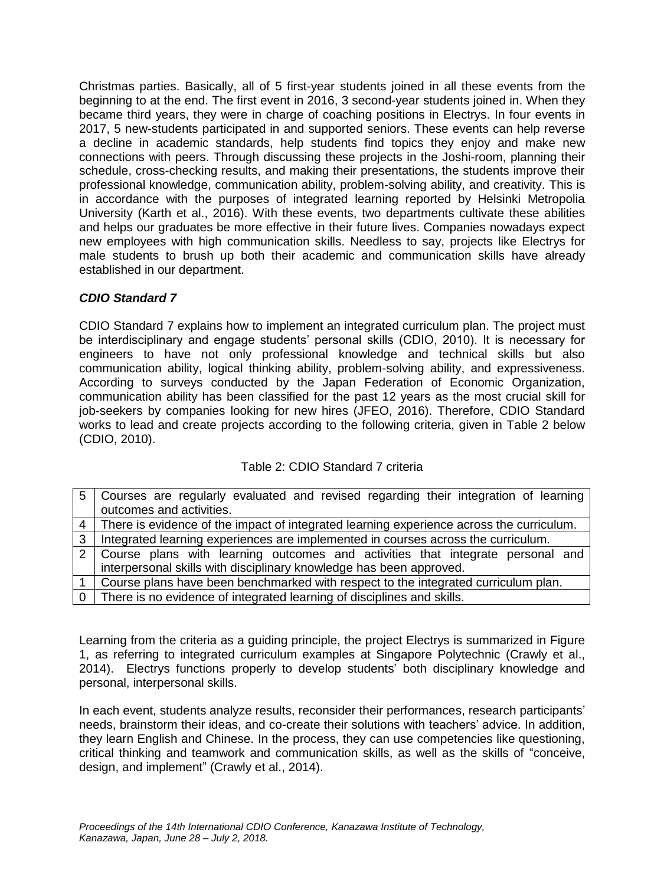Christmas parties. Basically, all of 5 first-year students joined in all these events from the beginning to at the end. The first event in 2016, 3 second-year students joined in. When they became third years, they were in charge of coaching positions in Electrys. In four events in 2017, 5 new-students participated in and supported seniors. These events can help reverse a decline in academic standards, help students find topics they enjoy and make new connections with peers. Through discussing these projects in the Joshi-room, planning their schedule, cross-checking results, and making their presentations, the students improve their professional knowledge, communication ability, problem-solving ability, and creativity. This is in accordance with the purposes of integrated learning reported by Helsinki Metropolia University (Karth et al., 2016). With these events, two departments cultivate these abilities and helps our graduates be more effective in their future lives. Companies nowadays expect new employees with high communication skills. Needless to say, projects like Electrys for male students to brush up both their academic and communication skills have already established in our department.

# *CDIO Standard 7*

CDIO Standard 7 explains how to implement an integrated curriculum plan. The project must be interdisciplinary and engage students' personal skills (CDIO, 2010). It is necessary for engineers to have not only professional knowledge and technical skills but also communication ability, logical thinking ability, problem-solving ability, and expressiveness. According to surveys conducted by the Japan Federation of Economic Organization, communication ability has been classified for the past 12 years as the most crucial skill for job-seekers by companies looking for new hires (JFEO, 2016). Therefore, CDIO Standard works to lead and create projects according to the following criteria, given in Table 2 below (CDIO, 2010).

# Table 2: CDIO Standard 7 criteria

| 5   Courses are regularly evaluated and revised regarding their integration of learning    |  |  |
|--------------------------------------------------------------------------------------------|--|--|
| outcomes and activities.                                                                   |  |  |
| 4 There is evidence of the impact of integrated learning experience across the curriculum. |  |  |
| 3   Integrated learning experiences are implemented in courses across the curriculum.      |  |  |
| 2   Course plans with learning outcomes and activities that integrate personal and         |  |  |
| interpersonal skills with disciplinary knowledge has been approved.                        |  |  |
| Course plans have been benchmarked with respect to the integrated curriculum plan.         |  |  |
| There is no evidence of integrated learning of disciplines and skills.                     |  |  |

Learning from the criteria as a guiding principle, the project Electrys is summarized in Figure 1, as referring to integrated curriculum examples at Singapore Polytechnic (Crawly et al., 2014). Electrys functions properly to develop students' both disciplinary knowledge and personal, interpersonal skills.

In each event, students analyze results, reconsider their performances, research participants' needs, brainstorm their ideas, and co-create their solutions with teachers' advice. In addition, they learn English and Chinese. In the process, they can use competencies like questioning, critical thinking and teamwork and communication skills, as well as the skills of "conceive, design, and implement" (Crawly et al., 2014).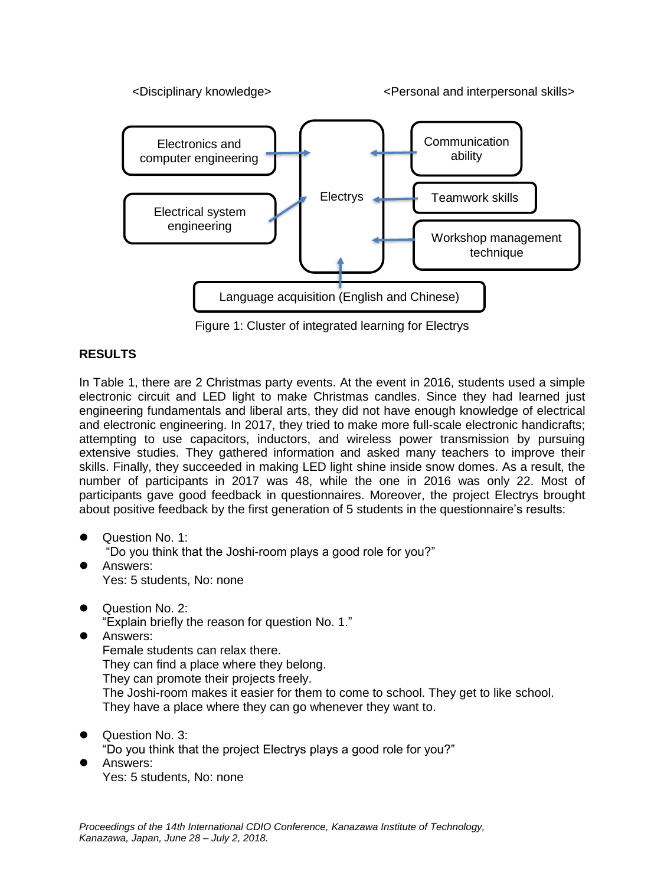

Figure 1: Cluster of integrated learning for Electrys

# **RESULTS**

In Table 1, there are 2 Christmas party events. At the event in 2016, students used a simple electronic circuit and LED light to make Christmas candles. Since they had learned just engineering fundamentals and liberal arts, they did not have enough knowledge of electrical and electronic engineering. In 2017, they tried to make more full-scale electronic handicrafts; attempting to use capacitors, inductors, and wireless power transmission by pursuing extensive studies. They gathered information and asked many teachers to improve their skills. Finally, they succeeded in making LED light shine inside snow domes. As a result, the number of participants in 2017 was 48, while the one in 2016 was only 22. Most of participants gave good feedback in questionnaires. Moreover, the project Electrys brought about positive feedback by the first generation of 5 students in the questionnaire's results:

- Question No. 1:
	- "Do you think that the Joshi-room plays a good role for you?"
- Answers: Yes: 5 students, No: none
- Question No. 2:
	- "Explain briefly the reason for question No. 1."
- Answers:

Female students can relax there. They can find a place where they belong. They can promote their projects freely. The Joshi-room makes it easier for them to come to school. They get to like school. They have a place where they can go whenever they want to.

Question No. 3:

"Do you think that the project Electrys plays a good role for you?"

 Answers: Yes: 5 students, No: none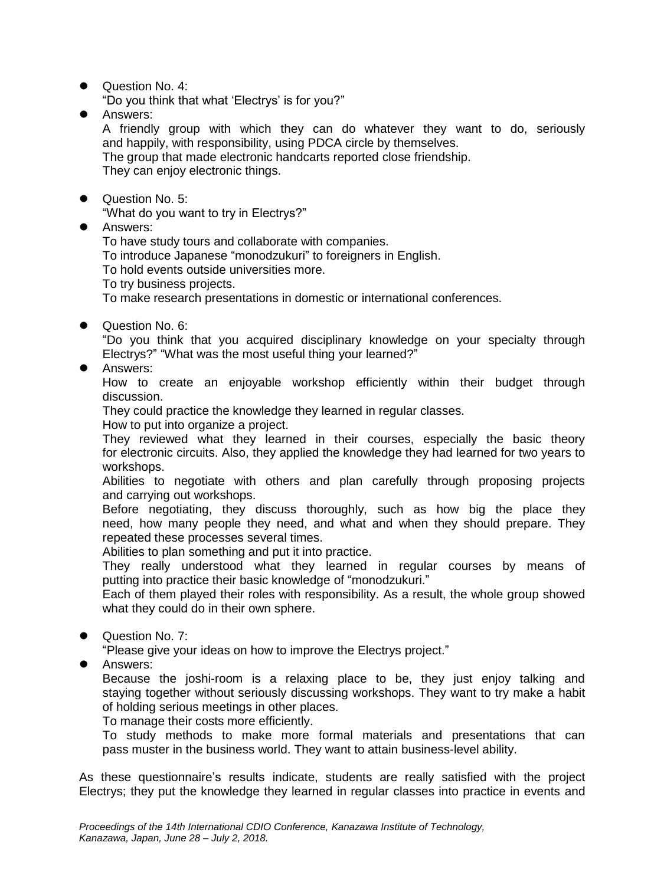Question No. 4:

"Do you think that what 'Electrys' is for you?"

Answers:

A friendly group with which they can do whatever they want to do, seriously and happily, with responsibility, using PDCA circle by themselves.

The group that made electronic handcarts reported close friendship. They can enjoy electronic things.

● Question No. 5:

"What do you want to try in Electrys?"

**•** Answers:

To have study tours and collaborate with companies.

To introduce Japanese "monodzukuri" to foreigners in English.

To hold events outside universities more.

To try business projects.

To make research presentations in domestic or international conferences.

● Question No. 6:

"Do you think that you acquired disciplinary knowledge on your specialty through Electrys?" "What was the most useful thing your learned?"

Answers:

How to create an enjoyable workshop efficiently within their budget through discussion.

They could practice the knowledge they learned in regular classes.

How to put into organize a project.

They reviewed what they learned in their courses, especially the basic theory for electronic circuits. Also, they applied the knowledge they had learned for two years to workshops.

Abilities to negotiate with others and plan carefully through proposing projects and carrying out workshops.

Before negotiating, they discuss thoroughly, such as how big the place they need, how many people they need, and what and when they should prepare. They repeated these processes several times.

Abilities to plan something and put it into practice.

They really understood what they learned in regular courses by means of putting into practice their basic knowledge of "monodzukuri."

Each of them played their roles with responsibility. As a result, the whole group showed what they could do in their own sphere.

● Question No. 7:

"Please give your ideas on how to improve the Electrys project."

**Answers:** 

Because the joshi-room is a relaxing place to be, they just enjoy talking and staying together without seriously discussing workshops. They want to try make a habit of holding serious meetings in other places.

To manage their costs more efficiently.

To study methods to make more formal materials and presentations that can pass muster in the business world. They want to attain business-level ability.

As these questionnaire's results indicate, students are really satisfied with the project Electrys; they put the knowledge they learned in regular classes into practice in events and